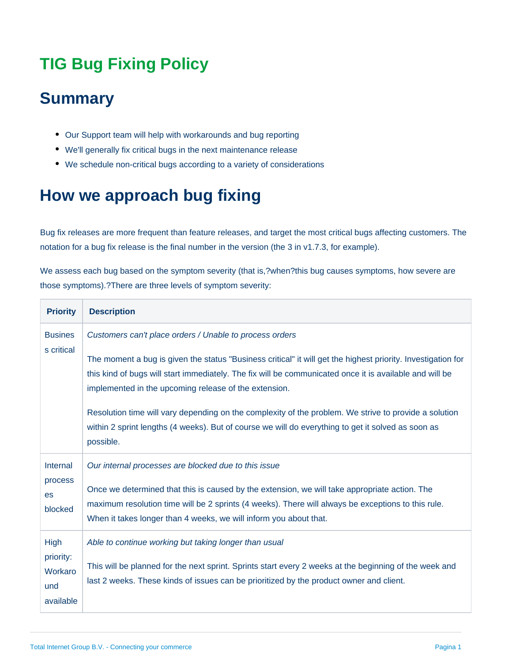## **TIG Bug Fixing Policy**

## **Summary**

- Our Support team will help with workarounds and bug reporting
- We'll generally fix critical bugs in the next maintenance release
- We schedule non-critical bugs according to a variety of considerations

## **How we approach bug fixing**

Bug fix releases are more frequent than feature releases, and target the most critical bugs affecting customers. The notation for a bug fix release is the final number in the version (the 3 in v1.7.3, for example).

We assess each bug based on the symptom severity (that is,?when?this bug causes symptoms, how severe are those symptoms).?There are three levels of symptom severity:

| <b>Priority</b>                                  | <b>Description</b>                                                                                                                                                                                                                                                                                                                                                                                                                                                                                                                                                      |
|--------------------------------------------------|-------------------------------------------------------------------------------------------------------------------------------------------------------------------------------------------------------------------------------------------------------------------------------------------------------------------------------------------------------------------------------------------------------------------------------------------------------------------------------------------------------------------------------------------------------------------------|
| <b>Busines</b><br>s critical                     | Customers can't place orders / Unable to process orders<br>The moment a bug is given the status "Business critical" it will get the highest priority. Investigation for<br>this kind of bugs will start immediately. The fix will be communicated once it is available and will be<br>implemented in the upcoming release of the extension.<br>Resolution time will vary depending on the complexity of the problem. We strive to provide a solution<br>within 2 sprint lengths (4 weeks). But of course we will do everything to get it solved as soon as<br>possible. |
| Internal<br>process<br><b>es</b><br>blocked      | Our internal processes are blocked due to this issue<br>Once we determined that this is caused by the extension, we will take appropriate action. The<br>maximum resolution time will be 2 sprints (4 weeks). There will always be exceptions to this rule.<br>When it takes longer than 4 weeks, we will inform you about that.                                                                                                                                                                                                                                        |
| High<br>priority:<br>Workaro<br>und<br>available | Able to continue working but taking longer than usual<br>This will be planned for the next sprint. Sprints start every 2 weeks at the beginning of the week and<br>last 2 weeks. These kinds of issues can be prioritized by the product owner and client.                                                                                                                                                                                                                                                                                                              |